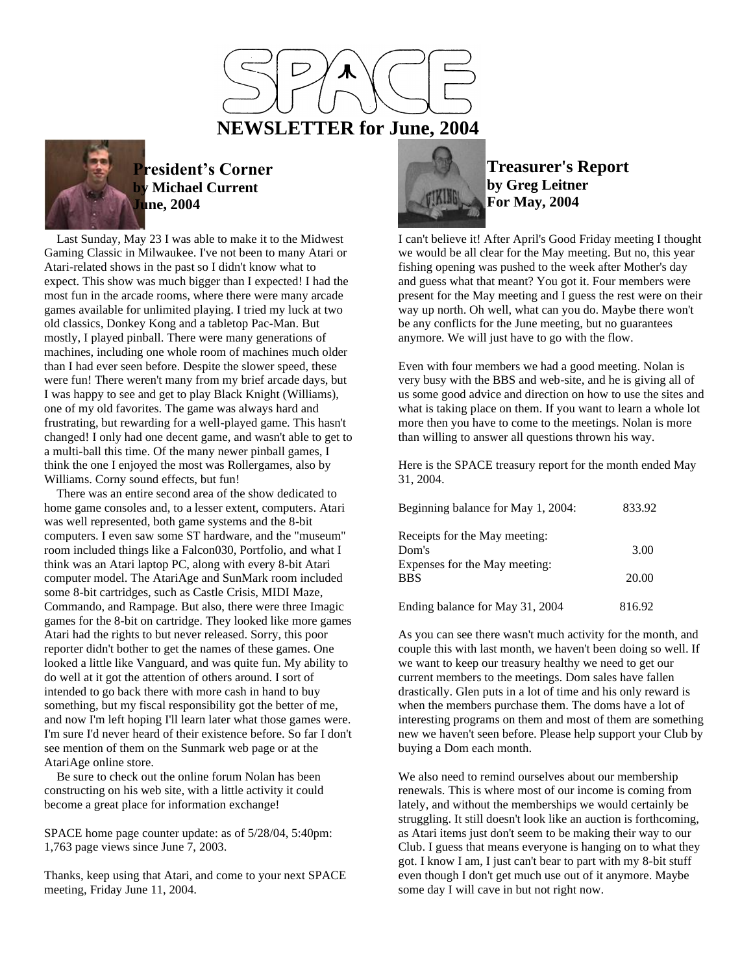



## **President's Corner by Michael Current June, 2004**

 Last Sunday, May 23 I was able to make it to the Midwest Gaming Classic in Milwaukee. I've not been to many Atari or Atari-related shows in the past so I didn't know what to expect. This show was much bigger than I expected! I had the most fun in the arcade rooms, where there were many arcade games available for unlimited playing. I tried my luck at two old classics, Donkey Kong and a tabletop Pac-Man. But mostly, I played pinball. There were many generations of machines, including one whole room of machines much older than I had ever seen before. Despite the slower speed, these were fun! There weren't many from my brief arcade days, but I was happy to see and get to play Black Knight (Williams), one of my old favorites. The game was always hard and frustrating, but rewarding for a well-played game. This hasn't changed! I only had one decent game, and wasn't able to get to a multi-ball this time. Of the many newer pinball games, I think the one I enjoyed the most was Rollergames, also by Williams. Corny sound effects, but fun!

 There was an entire second area of the show dedicated to home game consoles and, to a lesser extent, computers. Atari was well represented, both game systems and the 8-bit computers. I even saw some ST hardware, and the "museum" room included things like a Falcon030, Portfolio, and what I think was an Atari laptop PC, along with every 8-bit Atari computer model. The AtariAge and SunMark room included some 8-bit cartridges, such as Castle Crisis, MIDI Maze, Commando, and Rampage. But also, there were three Imagic games for the 8-bit on cartridge. They looked like more games Atari had the rights to but never released. Sorry, this poor reporter didn't bother to get the names of these games. One looked a little like Vanguard, and was quite fun. My ability to do well at it got the attention of others around. I sort of intended to go back there with more cash in hand to buy something, but my fiscal responsibility got the better of me, and now I'm left hoping I'll learn later what those games were. I'm sure I'd never heard of their existence before. So far I don't see mention of them on the Sunmark web page or at the AtariAge online store.

 Be sure to check out the online forum Nolan has been constructing on his web site, with a little activity it could become a great place for information exchange!

SPACE home page counter update: as of 5/28/04, 5:40pm: 1,763 page views since June 7, 2003.

Thanks, keep using that Atari, and come to your next SPACE meeting, Friday June 11, 2004.



**Treasurer's Report by Greg Leitner For May, 2004**

I can't believe it! After April's Good Friday meeting I thought we would be all clear for the May meeting. But no, this year fishing opening was pushed to the week after Mother's day and guess what that meant? You got it. Four members were present for the May meeting and I guess the rest were on their way up north. Oh well, what can you do. Maybe there won't be any conflicts for the June meeting, but no guarantees anymore. We will just have to go with the flow.

Even with four members we had a good meeting. Nolan is very busy with the BBS and web-site, and he is giving all of us some good advice and direction on how to use the sites and what is taking place on them. If you want to learn a whole lot more then you have to come to the meetings. Nolan is more than willing to answer all questions thrown his way.

Here is the SPACE treasury report for the month ended May 31, 2004.

| Beginning balance for May 1, 2004:     | 833.92 |
|----------------------------------------|--------|
| Receipts for the May meeting:          |        |
| Dom's<br>Expenses for the May meeting: | 3.00   |
| <b>BBS</b>                             | 20.00  |
| Ending balance for May 31, 2004        | 816.92 |

As you can see there wasn't much activity for the month, and couple this with last month, we haven't been doing so well. If we want to keep our treasury healthy we need to get our current members to the meetings. Dom sales have fallen drastically. Glen puts in a lot of time and his only reward is when the members purchase them. The doms have a lot of interesting programs on them and most of them are something new we haven't seen before. Please help support your Club by buying a Dom each month.

We also need to remind ourselves about our membership renewals. This is where most of our income is coming from lately, and without the memberships we would certainly be struggling. It still doesn't look like an auction is forthcoming, as Atari items just don't seem to be making their way to our Club. I guess that means everyone is hanging on to what they got. I know I am, I just can't bear to part with my 8-bit stuff even though I don't get much use out of it anymore. Maybe some day I will cave in but not right now.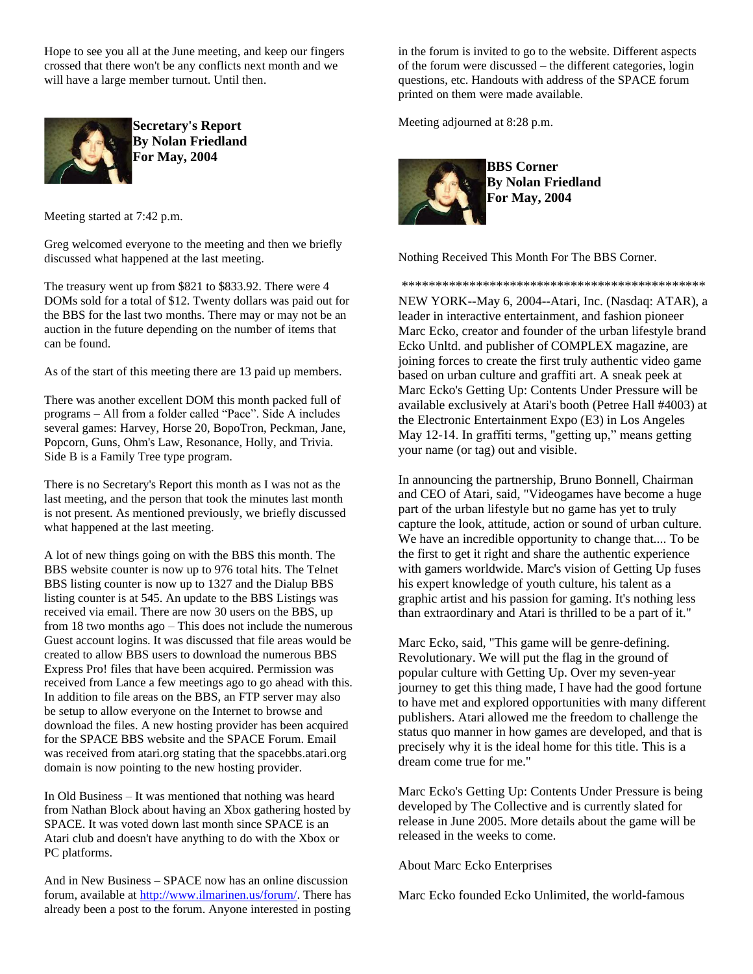Hope to see you all at the June meeting, and keep our fingers crossed that there won't be any conflicts next month and we will have a large member turnout. Until then.



**Secretary's Report By Nolan Friedland For May, 2004**

Meeting started at 7:42 p.m.

Greg welcomed everyone to the meeting and then we briefly discussed what happened at the last meeting.

The treasury went up from \$821 to \$833.92. There were 4 DOMs sold for a total of \$12. Twenty dollars was paid out for the BBS for the last two months. There may or may not be an auction in the future depending on the number of items that can be found.

As of the start of this meeting there are 13 paid up members.

There was another excellent DOM this month packed full of programs – All from a folder called "Pace". Side A includes several games: Harvey, Horse 20, BopoTron, Peckman, Jane, Popcorn, Guns, Ohm's Law, Resonance, Holly, and Trivia. Side B is a Family Tree type program.

There is no Secretary's Report this month as I was not as the last meeting, and the person that took the minutes last month is not present. As mentioned previously, we briefly discussed what happened at the last meeting.

A lot of new things going on with the BBS this month. The BBS website counter is now up to 976 total hits. The Telnet BBS listing counter is now up to 1327 and the Dialup BBS listing counter is at 545. An update to the BBS Listings was received via email. There are now 30 users on the BBS, up from 18 two months ago – This does not include the numerous Guest account logins. It was discussed that file areas would be created to allow BBS users to download the numerous BBS Express Pro! files that have been acquired. Permission was received from Lance a few meetings ago to go ahead with this. In addition to file areas on the BBS, an FTP server may also be setup to allow everyone on the Internet to browse and download the files. A new hosting provider has been acquired for the SPACE BBS website and the SPACE Forum. Email was received from atari.org stating that the spacebbs.atari.org domain is now pointing to the new hosting provider.

In Old Business – It was mentioned that nothing was heard from Nathan Block about having an Xbox gathering hosted by SPACE. It was voted down last month since SPACE is an Atari club and doesn't have anything to do with the Xbox or PC platforms.

And in New Business – SPACE now has an online discussion forum, available a[t http://www.ilmarinen.us/forum/.](http://www.ilmarinen.us/forum/) There has already been a post to the forum. Anyone interested in posting

in the forum is invited to go to the website. Different aspects of the forum were discussed – the different categories, login questions, etc. Handouts with address of the SPACE forum printed on them were made available.

Meeting adjourned at 8:28 p.m.



**BBS Corner By Nolan Friedland For May, 2004**

Nothing Received This Month For The BBS Corner.

\*\*\*\*\*\*\*\*\*\*\*\*\*\*\*\*\*\*\*\*\*\*\*\*\*\*\*\*\*\*\*\*\*\*\*\*\*\*\*\*\*\*\*\*\*

NEW YORK--May 6, 2004--Atari, Inc. (Nasdaq: ATAR), a leader in interactive entertainment, and fashion pioneer Marc Ecko, creator and founder of the urban lifestyle brand Ecko Unltd. and publisher of COMPLEX magazine, are joining forces to create the first truly authentic video game based on urban culture and graffiti art. A sneak peek at Marc Ecko's Getting Up: Contents Under Pressure will be available exclusively at Atari's booth (Petree Hall #4003) at the Electronic Entertainment Expo (E3) in Los Angeles May 12-14. In graffiti terms, "getting up," means getting your name (or tag) out and visible.

In announcing the partnership, Bruno Bonnell, Chairman and CEO of Atari, said, "Videogames have become a huge part of the urban lifestyle but no game has yet to truly capture the look, attitude, action or sound of urban culture. We have an incredible opportunity to change that.... To be the first to get it right and share the authentic experience with gamers worldwide. Marc's vision of Getting Up fuses his expert knowledge of youth culture, his talent as a graphic artist and his passion for gaming. It's nothing less than extraordinary and Atari is thrilled to be a part of it."

Marc Ecko, said, "This game will be genre-defining. Revolutionary. We will put the flag in the ground of popular culture with Getting Up. Over my seven-year journey to get this thing made, I have had the good fortune to have met and explored opportunities with many different publishers. Atari allowed me the freedom to challenge the status quo manner in how games are developed, and that is precisely why it is the ideal home for this title. This is a dream come true for me."

Marc Ecko's Getting Up: Contents Under Pressure is being developed by The Collective and is currently slated for release in June 2005. More details about the game will be released in the weeks to come.

About Marc Ecko Enterprises

Marc Ecko founded Ecko Unlimited, the world-famous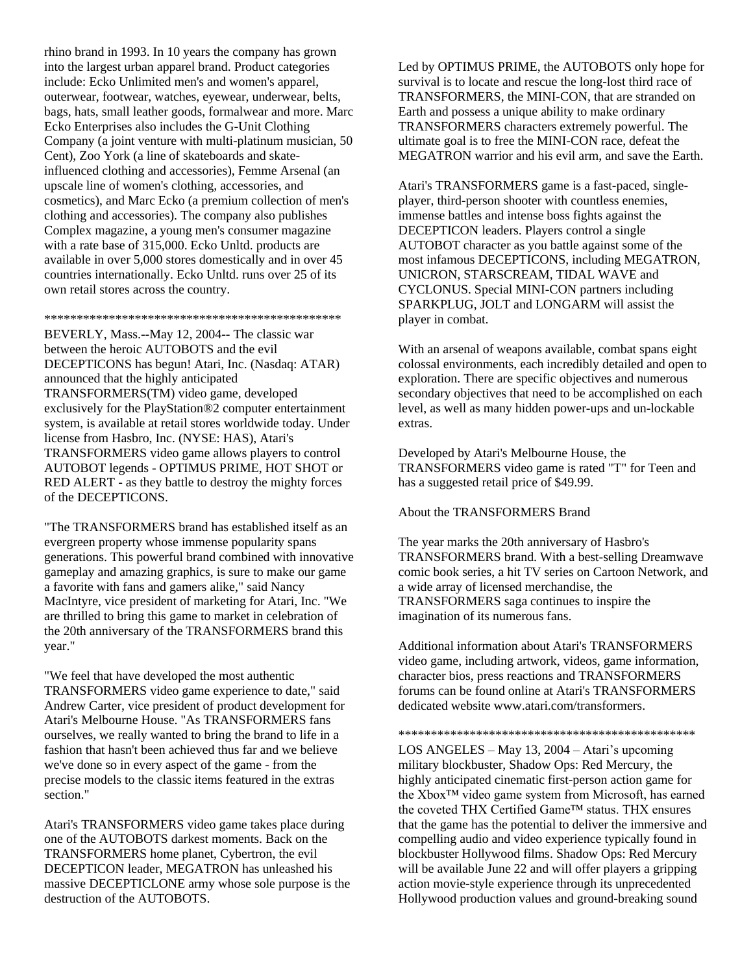rhino brand in 1993. In 10 years the company has grown into the largest urban apparel brand. Product categories include: Ecko Unlimited men's and women's apparel, outerwear, footwear, watches, eyewear, underwear, belts, bags, hats, small leather goods, formalwear and more. Marc Ecko Enterprises also includes the G-Unit Clothing Company (a joint venture with multi-platinum musician, 50 Cent), Zoo York (a line of skateboards and skateinfluenced clothing and accessories), Femme Arsenal (an upscale line of women's clothing, accessories, and cosmetics), and Marc Ecko (a premium collection of men's clothing and accessories). The company also publishes Complex magazine, a young men's consumer magazine with a rate base of 315,000. Ecko Unltd. products are available in over 5,000 stores domestically and in over 45 countries internationally. Ecko Unltd. runs over 25 of its own retail stores across the country.

\*\*\*\*\*\*\*\*\*\*\*\*\*\*\*\*\*\*\*\*\*\*\*\*\*\*\*\*\*\*\*\*\*\*\*\*\*\*\*\*\*\*\*\*\*\*

BEVERLY, Mass.--May 12, 2004-- The classic war between the heroic AUTOBOTS and the evil DECEPTICONS has begun! Atari, Inc. (Nasdaq: ATAR) announced that the highly anticipated TRANSFORMERS(TM) video game, developed exclusively for the PlayStation®2 computer entertainment system, is available at retail stores worldwide today. Under license from Hasbro, Inc. (NYSE: HAS), Atari's TRANSFORMERS video game allows players to control AUTOBOT legends - OPTIMUS PRIME, HOT SHOT or RED ALERT - as they battle to destroy the mighty forces of the DECEPTICONS.

"The TRANSFORMERS brand has established itself as an evergreen property whose immense popularity spans generations. This powerful brand combined with innovative gameplay and amazing graphics, is sure to make our game a favorite with fans and gamers alike," said Nancy MacIntyre, vice president of marketing for Atari, Inc. "We are thrilled to bring this game to market in celebration of the 20th anniversary of the TRANSFORMERS brand this year."

"We feel that have developed the most authentic TRANSFORMERS video game experience to date," said Andrew Carter, vice president of product development for Atari's Melbourne House. "As TRANSFORMERS fans ourselves, we really wanted to bring the brand to life in a fashion that hasn't been achieved thus far and we believe we've done so in every aspect of the game - from the precise models to the classic items featured in the extras section."

Atari's TRANSFORMERS video game takes place during one of the AUTOBOTS darkest moments. Back on the TRANSFORMERS home planet, Cybertron, the evil DECEPTICON leader, MEGATRON has unleashed his massive DECEPTICLONE army whose sole purpose is the destruction of the AUTOBOTS.

Led by OPTIMUS PRIME, the AUTOBOTS only hope for survival is to locate and rescue the long-lost third race of TRANSFORMERS, the MINI-CON, that are stranded on Earth and possess a unique ability to make ordinary TRANSFORMERS characters extremely powerful. The ultimate goal is to free the MINI-CON race, defeat the MEGATRON warrior and his evil arm, and save the Earth.

Atari's TRANSFORMERS game is a fast-paced, singleplayer, third-person shooter with countless enemies, immense battles and intense boss fights against the DECEPTICON leaders. Players control a single AUTOBOT character as you battle against some of the most infamous DECEPTICONS, including MEGATRON, UNICRON, STARSCREAM, TIDAL WAVE and CYCLONUS. Special MINI-CON partners including SPARKPLUG, JOLT and LONGARM will assist the player in combat.

With an arsenal of weapons available, combat spans eight colossal environments, each incredibly detailed and open to exploration. There are specific objectives and numerous secondary objectives that need to be accomplished on each level, as well as many hidden power-ups and un-lockable extras.

Developed by Atari's Melbourne House, the TRANSFORMERS video game is rated "T" for Teen and has a suggested retail price of \$49.99.

About the TRANSFORMERS Brand

The year marks the 20th anniversary of Hasbro's TRANSFORMERS brand. With a best-selling Dreamwave comic book series, a hit TV series on Cartoon Network, and a wide array of licensed merchandise, the TRANSFORMERS saga continues to inspire the imagination of its numerous fans.

Additional information about Atari's TRANSFORMERS video game, including artwork, videos, game information, character bios, press reactions and TRANSFORMERS forums can be found online at Atari's TRANSFORMERS dedicated website www.atari.com/transformers.

\*\*\*\*\*\*\*\*\*\*\*\*\*\*\*\*\*\*\*\*\*\*\*\*\*\*\*\*\*\*\*\*\*\*\*\*\*\*\*\*\*\*\*\*\*\*

LOS ANGELES – May 13, 2004 – Atari's upcoming military blockbuster, Shadow Ops: Red Mercury, the highly anticipated cinematic first-person action game for the Xbox™ video game system from Microsoft, has earned the coveted THX Certified Game™ status. THX ensures that the game has the potential to deliver the immersive and compelling audio and video experience typically found in blockbuster Hollywood films. Shadow Ops: Red Mercury will be available June 22 and will offer players a gripping action movie-style experience through its unprecedented Hollywood production values and ground-breaking sound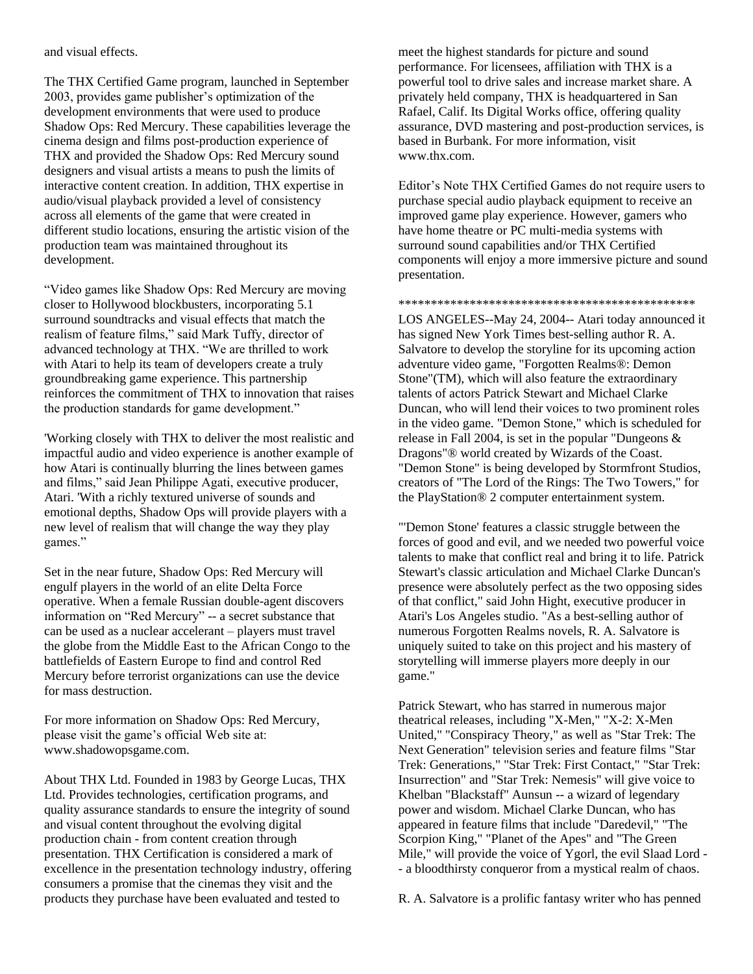and visual effects.

The THX Certified Game program, launched in September 2003, provides game publisher's optimization of the development environments that were used to produce Shadow Ops: Red Mercury. These capabilities leverage the cinema design and films post-production experience of THX and provided the Shadow Ops: Red Mercury sound designers and visual artists a means to push the limits of interactive content creation. In addition, THX expertise in audio/visual playback provided a level of consistency across all elements of the game that were created in different studio locations, ensuring the artistic vision of the production team was maintained throughout its development.

"Video games like Shadow Ops: Red Mercury are moving closer to Hollywood blockbusters, incorporating 5.1 surround soundtracks and visual effects that match the realism of feature films," said Mark Tuffy, director of advanced technology at THX. "We are thrilled to work with Atari to help its team of developers create a truly groundbreaking game experience. This partnership reinforces the commitment of THX to innovation that raises the production standards for game development."

'Working closely with THX to deliver the most realistic and impactful audio and video experience is another example of how Atari is continually blurring the lines between games and films," said Jean Philippe Agati, executive producer, Atari. 'With a richly textured universe of sounds and emotional depths, Shadow Ops will provide players with a new level of realism that will change the way they play games."

Set in the near future, Shadow Ops: Red Mercury will engulf players in the world of an elite Delta Force operative. When a female Russian double-agent discovers information on "Red Mercury" -- a secret substance that can be used as a nuclear accelerant – players must travel the globe from the Middle East to the African Congo to the battlefields of Eastern Europe to find and control Red Mercury before terrorist organizations can use the device for mass destruction.

For more information on Shadow Ops: Red Mercury, please visit the game's official Web site at: www.shadowopsgame.com.

About THX Ltd. Founded in 1983 by George Lucas, THX Ltd. Provides technologies, certification programs, and quality assurance standards to ensure the integrity of sound and visual content throughout the evolving digital production chain - from content creation through presentation. THX Certification is considered a mark of excellence in the presentation technology industry, offering consumers a promise that the cinemas they visit and the products they purchase have been evaluated and tested to

meet the highest standards for picture and sound performance. For licensees, affiliation with THX is a powerful tool to drive sales and increase market share. A privately held company, THX is headquartered in San Rafael, Calif. Its Digital Works office, offering quality assurance, DVD mastering and post-production services, is based in Burbank. For more information, visit www.thx.com.

Editor's Note THX Certified Games do not require users to purchase special audio playback equipment to receive an improved game play experience. However, gamers who have home theatre or PC multi-media systems with surround sound capabilities and/or THX Certified components will enjoy a more immersive picture and sound presentation.

\*\*\*\*\*\*\*\*\*\*\*\*\*\*\*\*\*\*\*\*\*\*\*\*\*\*\*\*\*\*\*\*\*\*\*\*\*\*\*\*\*\*\*\*\*\*

LOS ANGELES--May 24, 2004-- Atari today announced it has signed New York Times best-selling author R. A. Salvatore to develop the storyline for its upcoming action adventure video game, "Forgotten Realms®: Demon Stone"(TM), which will also feature the extraordinary talents of actors Patrick Stewart and Michael Clarke Duncan, who will lend their voices to two prominent roles in the video game. "Demon Stone," which is scheduled for release in Fall 2004, is set in the popular "Dungeons & Dragons"® world created by Wizards of the Coast. "Demon Stone" is being developed by Stormfront Studios, creators of "The Lord of the Rings: The Two Towers," for the PlayStation® 2 computer entertainment system.

"'Demon Stone' features a classic struggle between the forces of good and evil, and we needed two powerful voice talents to make that conflict real and bring it to life. Patrick Stewart's classic articulation and Michael Clarke Duncan's presence were absolutely perfect as the two opposing sides of that conflict," said John Hight, executive producer in Atari's Los Angeles studio. "As a best-selling author of numerous Forgotten Realms novels, R. A. Salvatore is uniquely suited to take on this project and his mastery of storytelling will immerse players more deeply in our game."

Patrick Stewart, who has starred in numerous major theatrical releases, including "X-Men," "X-2: X-Men United," "Conspiracy Theory," as well as "Star Trek: The Next Generation" television series and feature films "Star Trek: Generations," "Star Trek: First Contact," "Star Trek: Insurrection" and "Star Trek: Nemesis" will give voice to Khelban "Blackstaff" Aunsun -- a wizard of legendary power and wisdom. Michael Clarke Duncan, who has appeared in feature films that include "Daredevil," "The Scorpion King," "Planet of the Apes" and "The Green Mile," will provide the voice of Ygorl, the evil Slaad Lord - - a bloodthirsty conqueror from a mystical realm of chaos.

R. A. Salvatore is a prolific fantasy writer who has penned